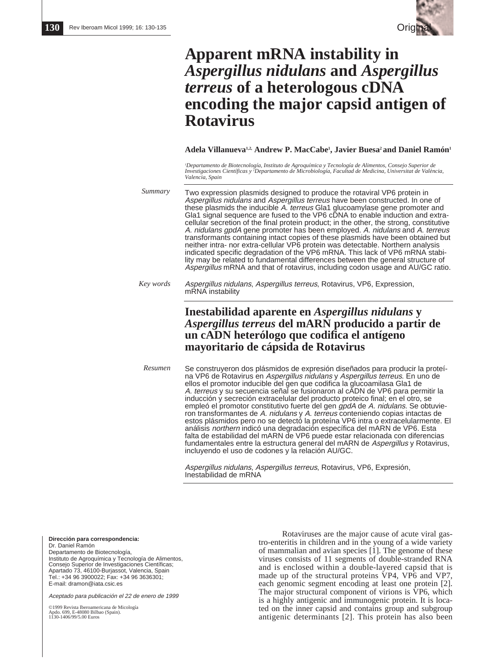

# **Apparent mRNA instability in** *Aspergillus nidulans* **and** *Aspergillus terreus* **of a heterologous cDNA encoding the major capsid antigen of Rotavirus**

## Adela Villanueva<sup>1,2,</sup> Andrew P. MacCabe<sup>1</sup>, Javier Buesa<sup>2</sup> and Daniel Ramón<sup>1</sup>

*1 Departamento de Biotecnología, Instituto de Agroquímica y Tecnología de Alimentos, Consejo Superior de Investigaciones Científicas y 2 Departamento de Microbiología, Facultad de Medicina, Universitat de València, Valencia, Spain*

*Summary* Two expression plasmids designed to produce the rotaviral VP6 protein in Aspergillus nidulans and Aspergillus terreus have been constructed. In one of these plasmids the inducible A. terreus Gla1 glucoamylase gene promoter and Gla1 signal sequence are fused to the VP6 cDNA to enable induction and extracellular secretion of the final protein product; in the other, the strong, constitutive A. nidulans gpdA gene promoter has been employed. A. nidulans and A. terreus transformants containing intact copies of these plasmids have been obtained but neither intra- nor extra-cellular VP6 protein was detectable. Northern analysis indicated specific degradation of the VP6 mRNA. This lack of VP6 mRNA stability may be related to fundamental differences between the general structure of Aspergillus mRNA and that of rotavirus, including codon usage and AU/GC ratio.

*Key words* Aspergillus nidulans, Aspergillus terreus, Rotavirus, VP6, Expression, mRNA instability

# **Inestabilidad aparente en** *Aspergillus nidulans* **y** *Aspergillus terreus* **del mARN producido a partir de un cADN heterólogo que codifica el antígeno mayoritario de cápsida de Rotavirus**

Se construyeron dos plásmidos de expresión diseñados para producir la proteína VP6 de Rotavirus en Aspergillus nidulans y Aspergillus terreus. En uno de ellos el promotor inducible del gen que codifica la glucoamilasa Gla1 de A. terreus y su secuencia señal se fusionaron al cADN de VP6 para permitir la inducción y secreción extracelular del producto proteico final; en el otro, se empleó el promotor constitutivo fuerte del gen gpdA de A. nidulans. Se obtuvieron transformantes de A. nidulans y A. terreus conteniendo copias intactas de estos plásmidos pero no se detectó la proteína VP6 intra o extracelularmente. El análisis northern indicó una degradación específica del mARN de VP6. Esta falta de estabilidad del mARN de VP6 puede estar relacionada con diferencias fundamentales entre la estructura general del mARN de Aspergillus y Rotavirus, incluyendo el uso de codones y la relación AU/GC. *Resumen*

> Aspergillus nidulans, Aspergillus terreus, Rotavirus, VP6, Expresión, Inestabilidad de mRNA

**Dirección para correspondencia:** Dr. Daniel Ramón Departamento de Biotecnología, Instituto de Agroquímica y Tecnología de Alimentos, Consejo Superior de Investigaciones Científicas; Apartado 73, 46100-Burjassot, Valencia, Spain Tel.: +34 96 3900022; Fax: +34 96 3636301; E-mail: dramon@iata.csic.es

Aceptado para publicación el 22 de enero de 1999

©1999 Revista Iberoamericana de Micología Apdo. 699, E-48080 Bilbao (Spain). 1130-1406/99/5.00 Euros

Rotaviruses are the major cause of acute viral gastro-enteritis in children and in the young of a wide variety of mammalian and avian species [1]. The genome of these viruses consists of 11 segments of double-stranded RNA and is enclosed within a double-layered capsid that is made up of the structural proteins VP4, VP6 and VP7, each genomic segment encoding at least one protein [2]. The major structural component of virions is VP6, which is a highly antigenic and immunogenic protein. It is located on the inner capsid and contains group and subgroup antigenic determinants [2]. This protein has also been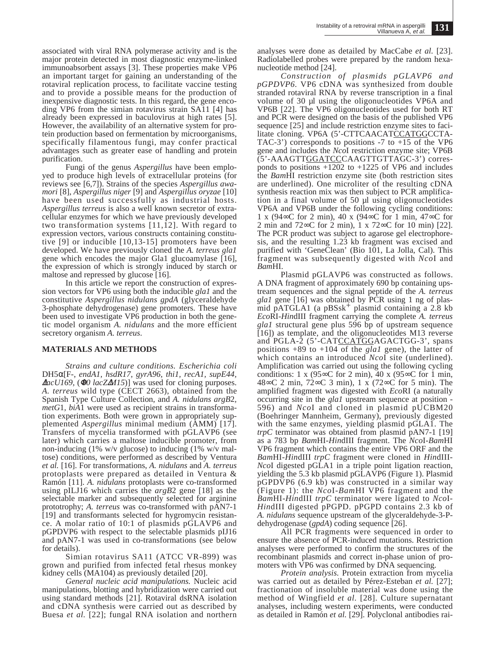associated with viral RNA polymerase activity and is the major protein detected in most diagnostic enzyme-linked immunoabsorbent assays [3]. These properties make VP6 an important target for gaining an understanding of the rotaviral replication process, to facilitate vaccine testing and to provide a possible means for the production of inexpensive diagnostic tests. In this regard, the gene encoding VP6 from the simian rotavirus strain SA11 [4] has already been expressed in baculovirus at high rates [5]. However, the availability of an alternative system for protein production based on fermentation by microorganisms, specifically filamentous fungi, may confer practical advantages such as greater ease of handling and protein purification.

Fungi of the genus *Aspergillus* have been employed to produce high levels of extracellular proteins (for reviews see [6,7]). Strains of the species *Aspergillus awamori* [8], *Aspergillus niger* [9] and *Aspergillus oryzae* [10] have been used successfully as industrial hosts. *Aspergillus terreus* is also a well known secretor of extracellular enzymes for which we have previously developed two transformation systems [11,12]. With regard to expression vectors, various constructs containing constitutive [9] or inducible [10,13-15] promoters have been developed. We have previously cloned the *A. terreus gla1* gene which encodes the major Gla1 glucoamylase [16], the expression of which is strongly induced by starch or maltose and repressed by glucose [16].

In this article we report the construction of expression vectors for VP6 using both the inducible *gla1* and the constitutive *Aspergillus nidulans gpdA* (glyceraldehyde 3-phosphate dehydrogenase) gene promoters. These have been used to investigate VP6 production in both the genetic model organism *A. nidulans* and the more efficient secretory organism *A. terreus*.

### **MATERIALS AND METHODS**

*Strains and culture conditions. Escherichia coli* DH5α[F-, *endA1, hsdR17, gyrA96, thi1, recA1, supE44,* <sup>∆</sup>*lacU169,* (Φ*80 lacZ*∆*M15*)] was used for cloning purposes. *A. terreus* wild type (CECT 2663), obtained from the Spanish Type Culture Collection, and *A. nidulans argB*2*, metG*1*, biA*1 were used as recipient strains in transformation experiments. Both were grown in appropriately supplemented *Aspergillus* minimal medium (AMM) [17]. Transfers of mycelia transformed with pGLAVP6 (see later) which carries a maltose inducible promoter, from non-inducing (1% w/v glucose) to inducing (1% w/v maltose) conditions, were performed as described by Ventura *et al.* [16]. For transformations, *A. nidulans* and *A. terreus* protoplasts were prepared as detailed in Ventura & Ramón [11]. *A. nidulans* protoplasts were co-transformed using pILJ16 which carries the *argB*2 gene [18] as the selectable marker and subsequently selected for arginine prototrophy; *A. terreus* was co-transformed with pAN7-1 [19] and transformants selected for hygromycin resistance. A molar ratio of 10:1 of plasmids pGLAVP6 and pGPDVP6 with respect to the selectable plasmids pIJ16 and pAN7-1 was used in co-transformations (see below for details).

Simian rotavirus SA11 (ATCC VR-899) was grown and purified from infected fetal rhesus monkey kidney cells (MA104) as previously detailed [20].

*General nucleic acid manipulations.* Nucleic acid manipulations, blotting and hybridization were carried out using standard methods [21]. Rotaviral dsRNA isolation and cDNA synthesis were carried out as described by Buesa *et al.* [22]; fungal RNA isolation and northern

analyses were done as detailed by MacCabe *et al.* [23]. Radiolabelled probes were prepared by the random hexanucleotide method [24].

*Construction of plasmids pGLAVP6 and pGPDVP6.* VP6 cDNA was synthesized from double stranded rotaviral RNA by reverse transcription in a final volume of 30 µl using the oligonucleotides VP6A and VP6B [22]. The VP6 oligonucleotides used for both RT and PCR were designed on the basis of the published VP6 sequence [25] and include restriction enzyme sites to facilitate cloning. VP6A (5'-CTTCAACATCCATGGCCTA-TAC-3') corresponds to positions  $-7$  to  $+15$  of the VP6 gene and includes the *Nco*I restriction enzyme site; VP6B (5'-AAAGTTGGATCCCAAGTTGTTAGC-3') corresponds to positions  $+1202$  to  $+1225$  of VP6 and includes the *Bam*HI restriction enzyme site (both restriction sites are underlined). One microliter of the resulting cDNA synthesis reaction mix was then subject to PCR amplification in a final volume of 50 µl using oligonucleotides VP6A and VP6B under the following cycling conditions: 1 x (94∞C for 2 min), 40 x (94∞C for 1 min, 47∞C for 2 min and 72∞C for 2 min), 1 x 72∞C for 10 min) [22]. The PCR product was subject to agarose gel electrophoresis, and the resulting 1.23 kb fragment was excised and purified with 'GeneClean' (Bio 101, La Jolla, Cal). This fragment was subsequently digested with *Nco*I and *Bam*HI.

Plasmid pGLAVP6 was constructed as follows. A DNA fragment of approximately 690 bp containing upstream sequences and the signal peptide of the *A. terreus gla1* gene [16] was obtained by PCR using 1 ng of plasmid pATGLA1 (a pBSsk<sup>+</sup> plasmid containing a 2.8 kb *Eco*RI-*Hin*dIII fragment carrying the complete *A. terreus gla1* structural gene plus 596 bp of upstream sequence [16]) as template, and the oligonucleotides M13 reverse and PGLA-2 (5'-CATCCATGGAGACTGG-3', spans positions  $+89$  to  $+104$  of the *gla1* gene), the latter of which contains an introduced *Nco*I site (underlined). Amplification was carried out using the following cycling conditions: 1 x (95∞C for 2 min), 40 x (95∞C for 1 min, 48∞C 2 min, 72∞C 3 min), 1 x (72∞C for 5 min). The amplified fragment was digested with *Eco*RI (a naturally occurring site in the *gla1* upstream sequence at position - 596) and *Nco*I and cloned in plasmid pUCBM20 (Boehringer Mannheim, Germany), previously digested with the same enzymes, yielding plasmid pGLA1. The *trpC* terminator was obtained from plasmid pAN7-1 [19] as a 783 bp *Bam*HI-*Hin*dIII fragment. The *Nco*I-*Bam*HI VP6 fragment which contains the entire VP6 ORF and the *Bam*HI-*Hin*dIII *trpC* fragment were cloned in *Hin*dIII-*Nco*I digested pGLA1 in a triple point ligation reaction, yielding the 5.3 kb plasmid pGLAVP6 (Figure 1). Plasmid pGPDVP6 (6.9 kb) was constructed in a similar way (Figure 1): the *Nco*I-*Bam*HI VP6 fragment and the *Bam*HI-*Hin*dIII *trpC* terminator were ligated to *Nco*I-HindIII digested pPGPD. pPGPD contains 2.3 kb of *A. nidulans* sequence upstream of the glyceraldehyde-3-Pdehydrogenase (*gpdA*) coding sequence [26].

All PCR fragments were sequenced in order to ensure the absence of PCR-induced mutations. Restriction analyses were performed to confirm the structures of the recombinant plasmids and correct in-phase union of promoters with VP6 was confirmed by DNA sequencing.

*Protein analysis.* Protein extraction from mycelia was carried out as detailed by Pérez-Esteban *et al.* [27]; fractionation of insoluble material was done using the method of Wingfield *et al.* [28]. Culture supernatant analyses, including western experiments, were conducted as detailed in Ramón *et al.* [29]. Polyclonal antibodies rai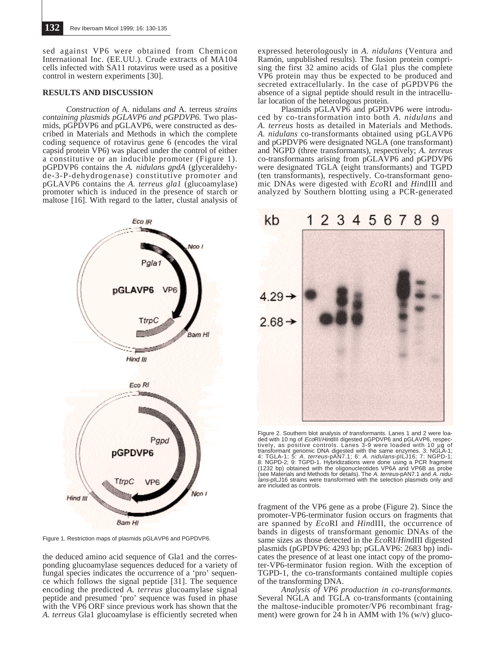sed against VP6 were obtained from Chemicon International Inc. (EE.UU.). Crude extracts of MA104 cells infected with SA11 rotavirus were used as a positive control in western experiments [30].

#### **RESULTS AND DISCUSSION**

*Construction of* A. nidulans *and* A. terreus *strains containing plasmids pGLAVP6 and pGPDVP6.* Two plasmids, pGPDVP6 and pGLAVP6, were constructed as described in Materials and Methods in which the complete coding sequence of rotavirus gene 6 (encodes the viral capsid protein VP6) was placed under the control of either a constitutive or an inducible promoter (Figure 1). pGPDVP6 contains the *A. nidulans gpdA* (glyceraldehyde-3-P-dehydrogenase) constitutive promoter and pGLAVP6 contains the *A. terreus gla1* (glucoamylase) promoter which is induced in the presence of starch or maltose [16]. With regard to the latter, clustal analysis of



Figure 1. Restriction maps of plasmids pGLAVP6 and PGPDVP6.

the deduced amino acid sequence of Gla1 and the corresponding glucoamylase sequences deduced for a variety of fungal species indicates the occurrence of a 'pro' sequence which follows the signal peptide [31]. The sequence encoding the predicted *A. terreus* glucoamylase signal peptide and presumed 'pro' sequence was fused in phase with the VP6 ORF since previous work has shown that the *A. terreus* Gla1 glucoamylase is efficiently secreted when

expressed heterologously in *A. nidulans* (Ventura and Ramón, unpublished results). The fusion protein comprising the first 32 amino acids of Gla1 plus the complete VP6 protein may thus be expected to be produced and secreted extracellularly. In the case of pGPDVP6 the absence of a signal peptide should result in the intracellular location of the heterologous protein.

Plasmids pGLAVP6 and pGPDVP6 were introduced by co-transformation into both *A. nidulans* and *A. terreus* hosts as detailed in Materials and Methods. *A. nidulans* co-transformants obtained using pGLAVP6 and pGPDVP6 were designated NGLA (one transformant) and NGPD (three transformants), respectively; *A. terreus* co-transformants arising from pGLAVP6 and pGPDVP6 were designated TGLA (eight transformants) and TGPD (ten transformants), respectively. Co-transformant genomic DNAs were digested with *Eco*RI and *Hin*dIII and analyzed by Southern blotting using a PCR-generated



Figure 2. Southern blot analysis of transformants. Lanes 1 and 2 were loaded with 10 ng of *EcoRl/HimdIII* digested pGPDVP6 and pGLAVP6, respectively, as positive controls. Lanes 3-9 were loaded with 10 µg of transformant lans-pILJ16 strains were transformed with the selection plasmids only and are included as controls.

fragment of the VP6 gene as a probe (Figure 2). Since the promoter-VP6-terminator fusion occurs on fragments that are spanned by *Eco*RI and *Hin*dIII, the occurrence of bands in digests of transformant genomic DNAs of the same sizes as those detected in the *Eco*RI/*Hin*dIII digested plasmids (pGPDVP6: 4293 bp; pGLAVP6: 2683 bp) indicates the presence of at least one intact copy of the promoter-VP6-terminator fusion region. With the exception of TGPD-1, the co-transformants contained multiple copies of the transforming DNA.

*Analysis of VP6 production in co-transformants.* Several NGLA and TGLA co-transformants (containing the maltose-inducible promoter/VP6 recombinant fragment) were grown for 24 h in AMM with  $1\%$  (w/v) gluco-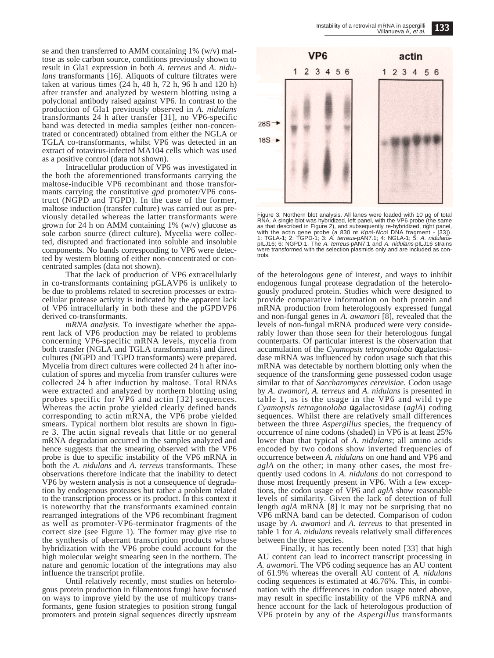se and then transferred to AMM containing 1% (w/v) maltose as sole carbon source, conditions previously shown to result in Gla1 expression in both *A. terreus* and *A. nidulans* transformants [16]. Aliquots of culture filtrates were taken at various times (24 h, 48 h, 72 h, 96 h and 120 h) after transfer and analyzed by western blotting using a polyclonal antibody raised against VP6. In contrast to the production of Gla1 previously observed in *A. nidulans* transformants 24 h after transfer [31], no VP6-specific band was detected in media samples (either non-concentrated or concentrated) obtained from either the NGLA or TGLA co-transformants, whilst VP6 was detected in an extract of rotavirus-infected MA104 cells which was used as a positive control (data not shown).

Intracellular production of VP6 was investigated in the both the aforementioned transformants carrying the maltose-inducible VP6 recombinant and those transformants carrying the constitutive *gpd* promoter/VP6 construct (NGPD and TGPD). In the case of the former, maltose induction (transfer culture) was carried out as previously detailed whereas the latter transformants were grown for 24 h on AMM containing  $1\%$  (w/v) glucose as sole carbon source (direct culture). Mycelia were collected, disrupted and fractionated into soluble and insoluble components. No bands corresponding to VP6 were detected by western blotting of either non-concentrated or concentrated samples (data not shown).

That the lack of production of VP6 extracellularly in co-transformants containing pGLAVP6 is unlikely to be due to problems related to secretion processes or extracellular protease activity is indicated by the apparent lack of VP6 intracellularly in both these and the pGPDVP6 derived co-transformants.

*mRNA analysis.* To investigate whether the apparent lack of VP6 production may be related to problems concerning VP6-specific mRNA levels, mycelia from both transfer (NGLA and TGLA transformants) and direct cultures (NGPD and TGPD transformants) were prepared. Mycelia from direct cultures were collected 24 h after inoculation of spores and mycelia from transfer cultures were collected 24 h after induction by maltose. Total RNAs were extracted and analyzed by northern blotting using probes specific for VP6 and actin [32] sequences. Whereas the actin probe yielded clearly defined bands corresponding to actin mRNA, the VP6 probe yielded smears. Typical northern blot results are shown in figure 3. The actin signal reveals that little or no general mRNA degradation occurred in the samples analyzed and hence suggests that the smearing observed with the VP6 probe is due to specific instability of the VP6 mRNA in both the *A. nidulans* and *A. terreus* transformants. These observations therefore indicate that the inability to detect VP6 by western analysis is not a consequence of degradation by endogenous proteases but rather a problem related to the transcription process or its product. In this context it is noteworthy that the transformants examined contain rearranged integrations of the VP6 recombinant fragment as well as promoter-VP6-terminator fragments of the correct size (see Figure 1). The former may give rise to the synthesis of aberrant transcription products whose hybridization with the VP6 probe could account for the high molecular weight smearing seen in the northern. The nature and genomic location of the integrations may also influence the transcript profile.

Until relatively recently, most studies on heterologous protein production in filamentous fungi have focused on ways to improve yield by the use of multicopy transformants, gene fusion strategies to position strong fungal promoters and protein signal sequences directly upstream



Figure 3. Northern blot analysis. All lanes were loaded with 10 µg of total RNA. A single blot was hybridized, left panel, with the VP6 probe (the same as that described in Figure 2), and subsequently re-hybridized, right were transformed with the selection plasmids only and are included as controls.

of the heterologous gene of interest, and ways to inhibit endogenous fungal protease degradation of the heterologously produced protein. Studies which were designed to provide comparative information on both protein and mRNA production from heterologously expressed fungal and non-fungal genes in *A. awamori* [8], revealed that the levels of non-fungal mRNA produced were very considerably lower than those seen for their heterologous fungal counterparts. Of particular interest is the observation that accumulation of the *Cyamopsis tetragonoloba* αgalactosidase mRNA was influenced by codon usage such that this mRNA was detectable by northern blotting only when the sequence of the transforming gene possessed codon usage similar to that of *Saccharomyces cerevisiae*. Codon usage by *A. awamori*, *A. terreus* and *A. nidulans* is presented in table 1, as is the usage in the VP6 and wild type *Cyamopsis tetragonoloba* αgalactosidase (*aglA*) coding sequences. Whilst there are relatively small differences between the three *Aspergillus* species, the frequency of occurrence of nine codons (shaded) in VP6 is at least 25% lower than that typical of *A. nidulans*; all amino acids encoded by two codons show inverted frequencies of occurrence between *A. nidulans* on one hand and VP6 and *aglA* on the other; in many other cases, the most frequently used codons in *A. nidulans* do not correspond to those most frequently present in VP6. With a few exceptions, the codon usage of VP6 and *aglA* show reasonable levels of similarity. Given the lack of detection of full length *aglA* mRNA [8] it may not be surprising that no VP6 mRNA band can be detected. Comparison of codon usage by *A. awamori* and *A. terreus* to that presented in table 1 for *A. nidulans* reveals relatively small differences between the three species.

Finally, it has recently been noted [33] that high AU content can lead to incorrect transcript processing in *A. awamor*i. The VP6 coding sequence has an AU content of 61.9% whereas the overall AU content of *A. nidulans* coding sequences is estimated at 46.76%. This, in combination with the differences in codon usage noted above, may result in specific instability of the VP6 mRNA and hence account for the lack of heterologous production of VP6 protein by any of the *Aspergillus* transformants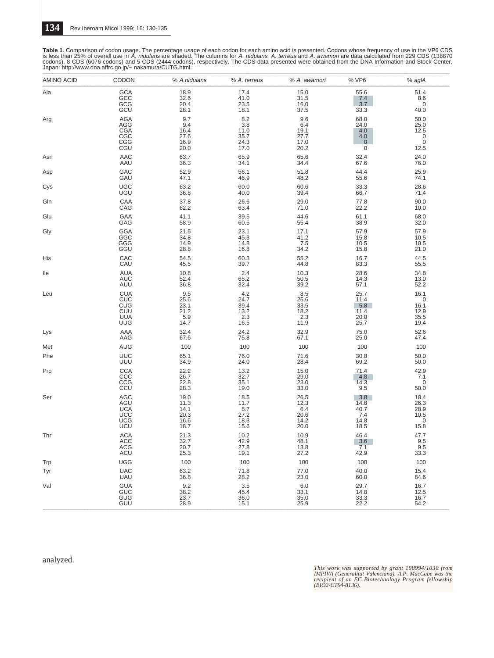Table 1. Comparison of codon usage. The percentage usage of each codon for each amino acid is presented. Codons whose frequency of use in the VP6 CDS<br>is less than 25% of overall use in A. *nidulans* are shaded. The columns

| <b>AMINO ACID</b> | CODON                                                | % A.nidulans                                   | % A. terreus                                      | % A. awamori                                          | % VP6                                          | % aglA                                             |
|-------------------|------------------------------------------------------|------------------------------------------------|---------------------------------------------------|-------------------------------------------------------|------------------------------------------------|----------------------------------------------------|
| Ala               | <b>GCA</b><br>GCC<br>GCG<br>GCU                      | 18.9<br>32.6<br>20.4<br>28.1                   | 17.4<br>41.0<br>23.5<br>18.1                      | 15.0<br>31.5<br>16.0<br>37.5                          | 55.6<br>7.4<br>3.7<br>33.3                     | 51.4<br>8.6<br>$\mathbf 0$<br>40.0                 |
| Arg               | AGA<br>AGG<br><b>CGA</b><br>CGC<br>CGG<br>CGU        | 9.7<br>9.4<br>16.4<br>27.6<br>16.9<br>20.0     | $\frac{8.2}{3.8}$<br>11.0<br>35.7<br>24.3<br>17.0 | 9.6<br>6.4<br>19.1<br>27.7<br>17.0<br>20.2            | 68.0<br>24.0<br>4.0<br>4.0<br>$\mathbf 0$<br>0 | 50.0<br>25.0<br>12.5<br>$_{\rm 0}^{\rm 0}$<br>12.5 |
| Asn               | AAC                                                  | 63.7                                           | 65.9                                              | 65.6                                                  | 32.4                                           | 24.0                                               |
|                   | AAU                                                  | 36.3                                           | 34.1                                              | 34.4                                                  | 67.6                                           | 76.0                                               |
| Asp               | GAC                                                  | 52.9                                           | 56.1                                              | 51.8                                                  | 44.4                                           | 25.9                                               |
|                   | GAU                                                  | 47.1                                           | 46.9                                              | 48.2                                                  | 55.6                                           | 74.1                                               |
| Cys               | <b>UGC</b>                                           | 63.2                                           | 60.0                                              | 60.6                                                  | 33.3                                           | 28.6                                               |
|                   | UGU                                                  | 36.8                                           | 40.0                                              | 39.4                                                  | 66.7                                           | 71.4                                               |
| Gln               | CAA                                                  | 37.8                                           | 26.6                                              | 29.0                                                  | 77.8                                           | 90.0                                               |
|                   | CAG                                                  | 62.2                                           | 63.4                                              | 71.0                                                  | 22.2                                           | 10.0                                               |
| Glu               | GAA                                                  | 41.1                                           | 39.5                                              | 44.6                                                  | 61.1                                           | 68.0                                               |
|                   | GAG                                                  | 58.9                                           | 60.5                                              | 55.4                                                  | 38.9                                           | 32.0                                               |
| Gly               | <b>GGA</b>                                           | 21.5                                           | 23.1                                              | 17.1                                                  | 57.9                                           | 57.9                                               |
|                   | GGC                                                  | 34.8                                           | 45.3                                              | 41.2                                                  | 15.8                                           | 10.5                                               |
|                   | GGG                                                  | 14.9                                           | 14.8                                              | 7.5                                                   | 10.5                                           | 10.5                                               |
|                   | GGU                                                  | 28.8                                           | 16.8                                              | 34.2                                                  | 15.8                                           | 21.0                                               |
| His               | CAC                                                  | 54.5                                           | 60.3                                              | 55.2                                                  | 16.7                                           | 44.5                                               |
|                   | CAU                                                  | 45.5                                           | 39.7                                              | 44.8                                                  | 83.3                                           | 55.5                                               |
| lle               | <b>AUA</b>                                           | 10.8                                           | 2.4                                               | 10.3                                                  | 28.6                                           | 34.8                                               |
|                   | <b>AUC</b>                                           | 52.4                                           | 65.2                                              | 50.5                                                  | 14.3                                           | 13.0                                               |
|                   | AUU                                                  | 36.8                                           | 32.4                                              | 39.2                                                  | 57.1                                           | 52.2                                               |
| Leu               | <b>CUA</b><br>CUC<br>CUG<br>CUU<br>CUU<br>UUG        | 9.5<br>25.6<br>23.1<br>$^{21.2}_{5.9}$<br>14.7 | 4.2<br>24.7<br>39.4<br>$^{13.2}_{2.3}$<br>16.5    | $\frac{8.5}{25.6}$<br>33.5<br>$^{18.2}_{2.3}$<br>11.9 | 25.7<br>11.4<br>5.8<br>11.4<br>20.0<br>25.7    | 16.1<br>0<br>16.1<br>12.9<br>35.5<br>19.4          |
| Lys               | AAA                                                  | 32.4                                           | 24.2                                              | 32.9                                                  | 75.0                                           | 52.6                                               |
|                   | AAG                                                  | 67.6                                           | 75.8                                              | 67.1                                                  | 25.0                                           | 47.4                                               |
| Met               | AUG                                                  | 100                                            | 100                                               | 100                                                   | 100                                            | 100                                                |
| Phe               | <b>UUC</b><br>UUU                                    | 65.1<br>34.9                                   | 76.0<br>24.0                                      | 71.6<br>28.4                                          | 30.8<br>69.2                                   | 50.0<br>50.0                                       |
| Pro               | <b>CCA</b><br><b>CCC</b><br>CCG<br>CCU               | $^{22.2}_{26.7}$<br>22.8<br>28.3               | $\frac{13.2}{32.7}$<br>35.1<br>19.0               | 15.0<br>29.0<br>23.0<br>33.0                          | 71.4<br>4.8<br>14.3<br>9.5                     | 42.9<br>7.1<br>0<br>50.0                           |
| Ser               | AGC<br>AGU<br><b>UCA</b><br>UCC<br>UCG<br>UCG<br>UCU | 19.0<br>11.3<br>14.1<br>20.3<br>16.6<br>18.7   | 18.5<br>11.7<br>8.7<br>27.2<br>18.3<br>15.6       | 26.5<br>12.3<br>6.4<br>20.6<br>$14.2$<br>$20.0$       | 3.8<br>14.8<br>40.7<br>7.4<br>14.8<br>18.5     | 18.4<br>26.3<br>28.9<br>10.5<br>0<br>$15.\bar{8}$  |
| Thr               | <b>ACA</b>                                           | 21.3                                           | 10.2                                              | 10.9                                                  | 46.4                                           | 47.7                                               |
|                   | <b>ACC</b>                                           | 32.7                                           | 42.9                                              | 48.1                                                  | 3.6                                            | 9.5                                                |
|                   | <b>ACG</b>                                           | 20.7                                           | 27.8                                              | 13.8                                                  | 7.1                                            | 9.5                                                |
|                   | <b>ACU</b>                                           | 25.3                                           | 19.1                                              | 27.2                                                  | 42.9                                           | 33.3                                               |
| Trp               | <b>UGG</b>                                           | 100                                            | 100                                               | 100                                                   | 100                                            | 100                                                |
| Tyr               | <b>UAC</b>                                           | 63.2                                           | 71.8                                              | 77.0                                                  | 40.0                                           | 15.4                                               |
|                   | <b>UAU</b>                                           | 36.8                                           | 28.2                                              | 23.0                                                  | 60.0                                           | 84.6                                               |
| Val               | <b>GUA</b><br>GUC<br>GUG<br>GUU                      | 9.2<br>38.2<br>23.7<br>28.9                    | $3.5\,$<br>45.4<br>36.0<br>15.1                   | 6.0<br>33.1<br>35.0<br>25.9                           | 29.7<br>14.8<br>33.3<br>22.2                   | 16.7<br>12.5<br>16.7<br>54.2                       |

analyzed.

*This work was supported by grant 108994/1030 from IMPIVA (Generalitat Valenciana). A.P. MacCabe was the recipient of an EC Biotechnology Program fellowship (BIO2-CT94-8136).*